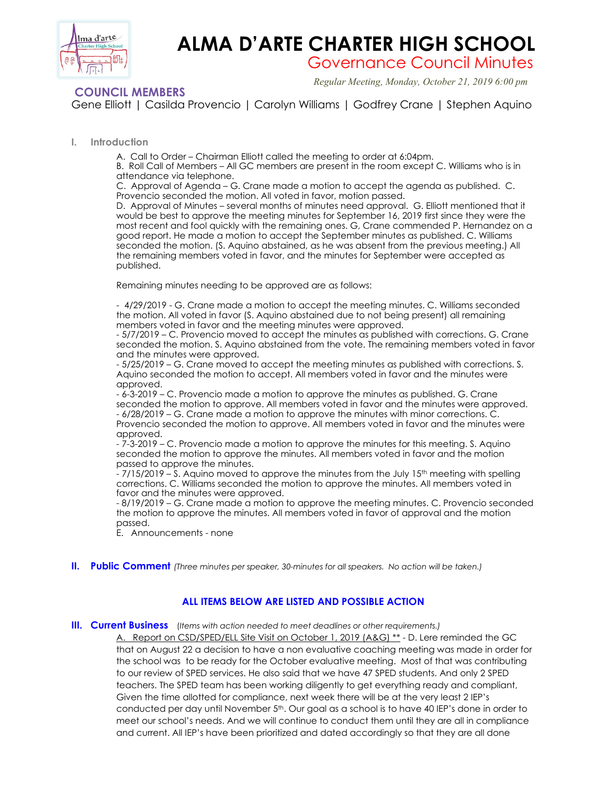

# **ALMA D'ARTE CHARTER HIGH SCHOOL**

Governance Council Minutes

 *Regular Meeting, Monday, October 21, 2019 6:00 pm*

## **COUNCIL MEMBERS**

Gene Elliott | Casilda Provencio | Carolyn Williams | Godfrey Crane | Stephen Aquino

## **I. Introduction**

A. Call to Order – Chairman Elliott called the meeting to order at 6:04pm.

B. Roll Call of Members – All GC members are present in the room except C. Williams who is in attendance via telephone.

C. Approval of Agenda – G. Crane made a motion to accept the agenda as published. C. Provencio seconded the motion. All voted in favor, motion passed.

D. Approval of Minutes – several months of minutes need approval. G. Elliott mentioned that it would be best to approve the meeting minutes for September 16, 2019 first since they were the most recent and fool quickly with the remaining ones. G, Crane commended P. Hernandez on a good report. He made a motion to accept the September minutes as published. C. Williams seconded the motion. (S. Aquino abstained, as he was absent from the previous meeting.) All the remaining members voted in favor, and the minutes for September were accepted as published.

Remaining minutes needing to be approved are as follows:

- 4/29/2019 - G. Crane made a motion to accept the meeting minutes. C. Williams seconded the motion. All voted in favor (S. Aquino abstained due to not being present) all remaining members voted in favor and the meeting minutes were approved.

- 5/7/2019 – C. Provencio moved to accept the minutes as published with corrections. G. Crane seconded the motion. S. Aquino abstained from the vote. The remaining members voted in favor and the minutes were approved.

- 5/25/2019 – G. Crane moved to accept the meeting minutes as published with corrections. S. Aquino seconded the motion to accept. All members voted in favor and the minutes were approved.

- 6-3-2019 – C. Provencio made a motion to approve the minutes as published. G. Crane seconded the motion to approve. All members voted in favor and the minutes were approved. - 6/28/2019 – G. Crane made a motion to approve the minutes with minor corrections. C. Provencio seconded the motion to approve. All members voted in favor and the minutes were approved.

- 7-3-2019 – C. Provencio made a motion to approve the minutes for this meeting. S. Aquino seconded the motion to approve the minutes. All members voted in favor and the motion passed to approve the minutes.

 $-7/15/2019 - S$ . Aquino moved to approve the minutes from the July 15<sup>th</sup> meeting with spelling corrections. C. Williams seconded the motion to approve the minutes. All members voted in favor and the minutes were approved.

- 8/19/2019 – G. Crane made a motion to approve the meeting minutes. C. Provencio seconded the motion to approve the minutes. All members voted in favor of approval and the motion passed.

E. Announcements - none

**II. Public Comment** *(Three minutes per speaker, 30-minutes for all speakers. No action will be taken.)*

## **ALL ITEMS BELOW ARE LISTED AND POSSIBLE ACTION**

## **III. Current Business** (*Items with action needed to meet deadlines or other requirements.)*

A. Report on CSD/SPED/ELL Site Visit on October 1, 2019 (A&G) \*\* - D. Lere reminded the GC that on August 22 a decision to have a non evaluative coaching meeting was made in order for the school was to be ready for the October evaluative meeting. Most of that was contributing to our review of SPED services. He also said that we have 47 SPED students. And only 2 SPED teachers. The SPED team has been working diligently to get everything ready and compliant, Given the time allotted for compliance, next week there will be at the very least 2 IEP's conducted per day until November 5th. Our goal as a school is to have 40 IEP's done in order to meet our school's needs. And we will continue to conduct them until they are all in compliance and current. All IEP's have been prioritized and dated accordingly so that they are all done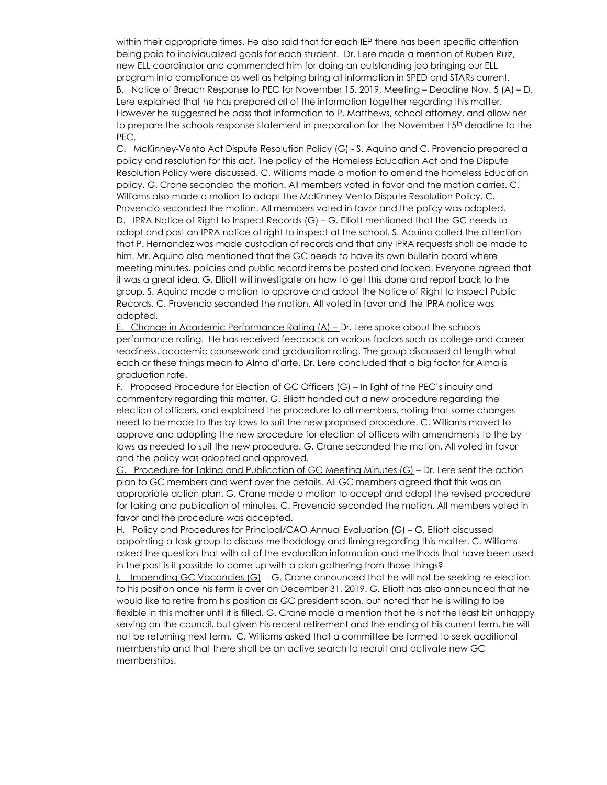within their appropriate times. He also said that for each IEP there has been specific attention being paid to individualized goals for each student. Dr. Lere made a mention of Ruben Ruiz, new ELL coordinator and commended him for doing an outstanding job bringing our ELL program into compliance as well as helping bring all information in SPED and STARs current. B. Notice of Breach Response to PEC for November 15, 2019, Meeting – Deadline Nov. 5 (A) – D. Lere explained that he has prepared all of the information together regarding this matter. However he suggested he pass that information to P. Matthews, school attorney, and allow her to prepare the schools response statement in preparation for the November 15<sup>th</sup> deadline to the PEC.

C. McKinney-Vento Act Dispute Resolution Policy (G) - S. Aquino and C. Provencio prepared a policy and resolution for this act. The policy of the Homeless Education Act and the Dispute Resolution Policy were discussed. C. Williams made a motion to amend the homeless Education policy. G. Crane seconded the motion. All members voted in favor and the motion carries. C. Williams also made a motion to adopt the McKinney-Vento Dispute Resolution Policy. C. Provencio seconded the motion. All members voted in favor and the policy was adopted. D. IPRA Notice of Right to Inspect Records (G) – G. Elliott mentioned that the GC needs to adopt and post an IPRA notice of right to inspect at the school. S. Aquino called the attention that P. Hernandez was made custodian of records and that any IPRA requests shall be made to him. Mr. Aquino also mentioned that the GC needs to have its own bulletin board where meeting minutes, policies and public record items be posted and locked. Everyone agreed that it was a great idea. G. Elliott will investigate on how to get this done and report back to the group. S. Aquino made a motion to approve and adopt the Notice of Right to Inspect Public Records. C. Provencio seconded the motion. All voted in favor and the IPRA notice was adopted.

E. Change in Academic Performance Rating (A) - Dr. Lere spoke about the schools performance rating. He has received feedback on various factors such as college and career readiness, academic coursework and graduation rating. The group discussed at length what each or these things mean to Alma d'arte. Dr. Lere concluded that a big factor for Alma is graduation rate.

F. Proposed Procedure for Election of GC Officers (G) – In light of the PEC's inquiry and commentary regarding this matter. G. Elliott handed out a new procedure regarding the election of officers, and explained the procedure to all members, noting that some changes need to be made to the by-laws to suit the new proposed procedure. C. Williams moved to approve and adopting the new procedure for election of officers with amendments to the bylaws as needed to suit the new procedure. G. Crane seconded the motion. All voted in favor and the policy was adopted and approved.

G. Procedure for Taking and Publication of GC Meeting Minutes (G) – Dr. Lere sent the action plan to GC members and went over the details. All GC members agreed that this was an appropriate action plan. G. Crane made a motion to accept and adopt the revised procedure for taking and publication of minutes. C. Provencio seconded the motion. All members voted in favor and the procedure was accepted.

H. Policy and Procedures for Principal/CAO Annual Evaluation (G) – G. Elliott discussed appointing a task group to discuss methodology and timing regarding this matter. C. Williams asked the question that with all of the evaluation information and methods that have been used in the past is it possible to come up with a plan gathering from those things?

I. Impending GC Vacancies (G) - G. Crane announced that he will not be seeking re-election to his position once his term is over on December 31, 2019. G. Elliott has also announced that he would like to retire from his position as GC president soon, but noted that he is willing to be flexible in this matter until it is filled. G. Crane made a mention that he is not the least bit unhappy serving on the council, but given his recent retirement and the ending of his current term, he will not be returning next term. C. Williams asked that a committee be formed to seek additional membership and that there shall be an active search to recruit and activate new GC memberships.